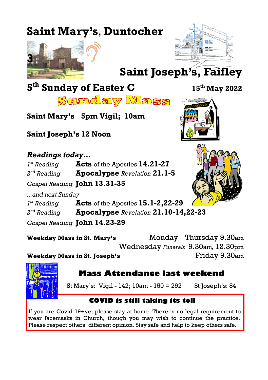# **Saint Mary's**, **Duntocher**





**Saint Joseph's, Faifley**

# **5 th Sunday of Easter C <sup>15</sup>th May 2022**



<u>Sunday Mass</u>

**Saint Mary's 5pm Vigil; 10am**

**Saint Joseph's 12 Noon**

#### *Readings today...*

 $I^{st}$  Reading *st Reading* **Acts** of the Apostles **14.21-27**

 $2<sup>nd</sup>$  Reading *nd Reading* **Apocalypse** *Revelation* **21.1-5**

*Gospel Reading* **John 13.31-35**

*...and next Sunday*

 $I^{st}$  Reading *st Reading* **Acts** of the Apostles **15.1-2,22-29**

2<sup>nd</sup> Reading *nd Reading* **Apocalypse** *Revelation* **21.10-14,22-23**

*Gospel Reading* **John 14.23-29**

**Weekday Mass in St. Mary's** Monday Thursday 9.30am Wednesday *Funerals* 9.30am*,* 12.30pm **Weekday Mass in St. Joseph's** Friday 9.30am



### **Mass Attendance last weekend**

St Mary's: Vigil - 142; 10am - 150 = 292 St Joseph's: 84

#### **COVID is still taking its toll**

If you are Covid-19+ve, please stay at home. There is no legal requirement to wear facemasks in Church, though you may wish to continue the practice. Please respect others' different opinion. Stay safe and help to keep others safe.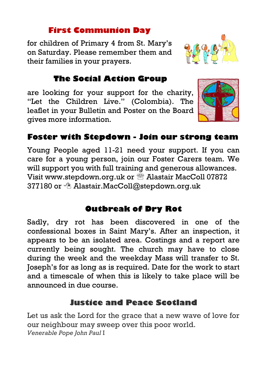#### **First Communion Day**

for children of Primary 4 from St. Mary's on Saturday. Please remember them and their families in your prayers.



are looking for your support for the charity, "Let the Children Live." (Colombia). The leaflet in your Bulletin and Poster on the Board gives more information.



#### **Foster with Stepdown - Join our strong team**

Young People aged 11-21 need your support. If you can care for a young person, join our Foster Carers team. We will support you with full training and generous allowances. Visit [www.stepdown.org.uk o](http://www.stepdown.org.uk)r  $\mathcal{B}$  Alastair MacColl 07872 377180 or  $\textcircled{a}$  [Alastair.MacColl@stepdown.org.uk](mailto:Alastair.MacColl@stepdown.org.uk)

#### **Outbreak of Dry Rot**

Sadly, dry rot has been discovered in one of the confessional boxes in Saint Mary's. After an inspection, it appears to be an isolated area. Costings and a report are currently being sought. The church may have to close during the week and the weekday Mass will transfer to St. Joseph's for as long as is required. Date for the work to start and a timescale of when this is likely to take place will be announced in due course.

#### **Justice and Peace Scotland**

Let us ask the Lord for the grace that a new wave of love for our neighbour may sweep over this poor world. *Venerable Pope John Paul* I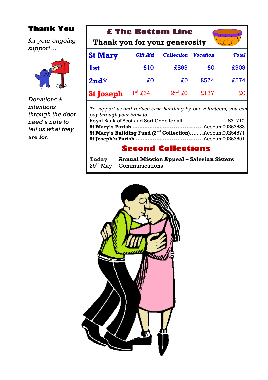#### **Thank You**

*for your ongoing support…*



*Donations & intentions through the door need a note to tell us what they are for.*

| <b>£ The Bottom Line</b>      |                 |                   |                 |              |  |
|-------------------------------|-----------------|-------------------|-----------------|--------------|--|
| Thank you for your generosity |                 |                   |                 |              |  |
| <b>St Mary</b>                | <b>Gift Aid</b> | <b>Collection</b> | <b>Vocation</b> | <b>Total</b> |  |
| <b>lst</b>                    | £10             | £899              | £O              | £909         |  |
| $2nd*$                        | £O              | £O                | £574            | £574         |  |
| <b>St Joseph</b>              | $1st$ £341      | $2nd$ £0          | £137            | £O           |  |

*To support us and reduce cash handling by our volunteers, you can pay through your bank to:* Royal Bank of Scotland Sort Code for all ….........................831710 **St Mary's Parish …………….. ......................**Account00253583 **St Mary's Building Fund (2nd Collection)…..** ..Account00254571 **St Joseph's Parish …………... ......................**Account00253591

#### **Second Collections**

| Today                | <b>Annual Mission Appeal – Salesian Sisters</b> |
|----------------------|-------------------------------------------------|
| 29 <sup>th</sup> May | Communications                                  |